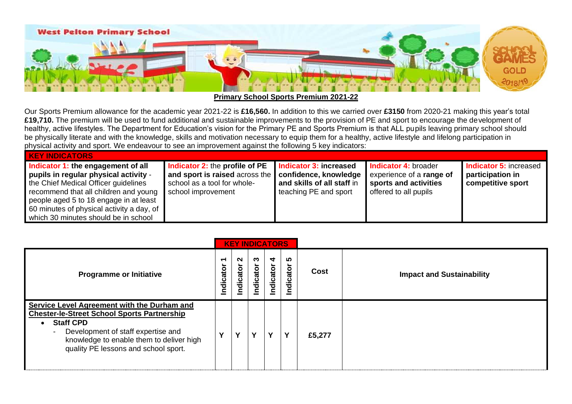

**Primary School Sports Premium 2021-22**

Our Sports Premium allowance for the academic year 2021-22 is **£16,560.** In addition to this we carried over **£3150** from 2020-21 making this year's total **£19,710.** The premium will be used to fund additional and sustainable improvements to the provision of PE and sport to encourage the development of healthy, active lifestyles. The Department for Education's vision for the Primary PE and Sports Premium is that ALL pupils leaving primary school should be physically literate and with the knowledge, skills and motivation necessary to equip them for a healthy, active lifestyle and lifelong participation in physical activity and sport. We endeavour to see an improvement against the following 5 key indicators:

| <b>KEY INDICATORS</b>                                                                                                                                                                                                                                                                       |                                                                                                                       |                                                                                                        |                                                                                                    |                                                                        |  |  |  |  |  |  |  |  |  |
|---------------------------------------------------------------------------------------------------------------------------------------------------------------------------------------------------------------------------------------------------------------------------------------------|-----------------------------------------------------------------------------------------------------------------------|--------------------------------------------------------------------------------------------------------|----------------------------------------------------------------------------------------------------|------------------------------------------------------------------------|--|--|--|--|--|--|--|--|--|
| Indicator 1: the engagement of all<br>pupils in regular physical activity -<br>the Chief Medical Officer guidelines<br>recommend that all children and young<br>people aged 5 to 18 engage in at least<br>60 minutes of physical activity a day, of<br>which 30 minutes should be in school | Indicator 2: the profile of PE<br>and sport is raised across the<br>school as a tool for whole-<br>school improvement | Indicator 3: increased<br>confidence, knowledge<br>and skills of all staff in<br>teaching PE and sport | Indicator 4: broader<br>experience of a range of<br>sports and activities<br>offered to all pupils | <b>Indicator 5: increased</b><br>participation in<br>competitive sport |  |  |  |  |  |  |  |  |  |

|                                                                                                                                                                                                                                                                                          |                                       | <b>KEY INDICATORS</b> |                |                |              |        |                                  |
|------------------------------------------------------------------------------------------------------------------------------------------------------------------------------------------------------------------------------------------------------------------------------------------|---------------------------------------|-----------------------|----------------|----------------|--------------|--------|----------------------------------|
| <b>Programme or Initiative</b>                                                                                                                                                                                                                                                           | $\overline{\phantom{0}}$<br>Indicator | $\sim$<br>idicator    | ო<br>Indicator | 4<br>Indicator | ທ<br>ndicato | Cost   | <b>Impact and Sustainability</b> |
| Service Level Agreement with the Durham and<br><b>Chester-le-Street School Sports Partnership</b><br><b>Staff CPD</b><br>$\bullet$<br>Development of staff expertise and<br>$\overline{\phantom{a}}$<br>knowledge to enable them to deliver high<br>quality PE lessons and school sport. | ν                                     | v                     | v              | v              | v            | £5,277 |                                  |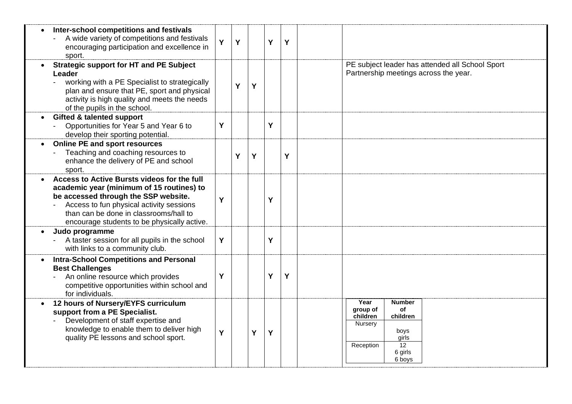| Inter-school competitions and festivals<br>A wide variety of competitions and festivals<br>encouraging participation and excellence in<br>sport.                                                                                                                      | Y | Y |   | Y | Y |                                                                                                                                     |
|-----------------------------------------------------------------------------------------------------------------------------------------------------------------------------------------------------------------------------------------------------------------------|---|---|---|---|---|-------------------------------------------------------------------------------------------------------------------------------------|
| <b>Strategic support for HT and PE Subject</b><br>Leader<br>working with a PE Specialist to strategically<br>plan and ensure that PE, sport and physical<br>activity is high quality and meets the needs<br>of the pupils in the school.                              |   | Ý | Y |   |   | PE subject leader has attended all School Sport<br>Partnership meetings across the year.                                            |
| <b>Gifted &amp; talented support</b><br>Opportunities for Year 5 and Year 6 to<br>develop their sporting potential.                                                                                                                                                   | Y |   |   | Y |   |                                                                                                                                     |
| <b>Online PE and sport resources</b><br>Teaching and coaching resources to<br>enhance the delivery of PE and school<br>sport.                                                                                                                                         |   | Ý | Y |   | Y |                                                                                                                                     |
| Access to Active Bursts videos for the full<br>academic year (minimum of 15 routines) to<br>be accessed through the SSP website.<br>Access to fun physical activity sessions<br>than can be done in classrooms/hall to<br>encourage students to be physically active. | Y |   |   | Y |   |                                                                                                                                     |
| Judo programme<br>A taster session for all pupils in the school<br>with links to a community club.                                                                                                                                                                    | Y |   |   | Y |   |                                                                                                                                     |
| <b>Intra-School Competitions and Personal</b><br><b>Best Challenges</b><br>An online resource which provides<br>competitive opportunities within school and<br>for individuals.                                                                                       | Y |   |   | Y | Y |                                                                                                                                     |
| 12 hours of Nursery/EYFS curriculum<br>support from a PE Specialist.<br>Development of staff expertise and<br>knowledge to enable them to deliver high<br>quality PE lessons and school sport.                                                                        | Y |   | Y | Y |   | Year<br><b>Number</b><br>group of<br>of<br>children<br>children<br>Nursery<br>boys<br>girls<br>12<br>Reception<br>6 girls<br>6 boys |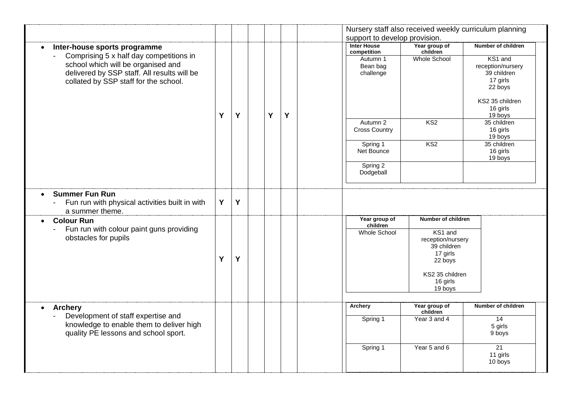|                                                                            |   |   |   |   |                                   |                                  | Nursery staff also received weekly curriculum planning |
|----------------------------------------------------------------------------|---|---|---|---|-----------------------------------|----------------------------------|--------------------------------------------------------|
|                                                                            |   |   |   |   | support to develop provision.     |                                  |                                                        |
| Inter-house sports programme<br>$\bullet$                                  |   |   |   |   | <b>Inter House</b><br>competition | Year group of<br>children        | <b>Number of children</b>                              |
| Comprising 5 x half day competitions in                                    |   |   |   |   | Autumn 1                          | Whole School                     | KS1 and                                                |
| school which will be organised and                                         |   |   |   |   | Bean bag                          |                                  | reception/nursery                                      |
| delivered by SSP staff. All results will be                                |   |   |   |   | challenge                         |                                  | 39 children                                            |
| collated by SSP staff for the school.                                      |   |   |   |   |                                   |                                  | 17 girls                                               |
|                                                                            |   |   |   |   |                                   |                                  | 22 boys                                                |
|                                                                            |   |   |   |   |                                   |                                  | KS2 35 children                                        |
|                                                                            |   |   |   |   |                                   |                                  | 16 girls                                               |
|                                                                            | Y | Y | Y | Y |                                   |                                  | 19 boys                                                |
|                                                                            |   |   |   |   | Autumn 2                          | KS <sub>2</sub>                  | 35 children                                            |
|                                                                            |   |   |   |   | <b>Cross Country</b>              |                                  | 16 girls                                               |
|                                                                            |   |   |   |   |                                   | KS <sub>2</sub>                  | 19 boys<br>35 children                                 |
|                                                                            |   |   |   |   | Spring 1<br>Net Bounce            |                                  | 16 girls                                               |
|                                                                            |   |   |   |   |                                   |                                  | 19 boys                                                |
|                                                                            |   |   |   |   | Spring 2                          |                                  |                                                        |
|                                                                            |   |   |   |   | Dodgeball                         |                                  |                                                        |
|                                                                            |   |   |   |   |                                   |                                  |                                                        |
| <b>Summer Fun Run</b><br>$\bullet$                                         |   |   |   |   |                                   |                                  |                                                        |
| Fun run with physical activities built in with<br>$\overline{\phantom{a}}$ | Y | Y |   |   |                                   |                                  |                                                        |
| a summer theme.                                                            |   |   |   |   |                                   |                                  |                                                        |
| <b>Colour Run</b>                                                          |   |   |   |   | Year group of                     | Number of children               |                                                        |
| $\bullet$<br>Fun run with colour paint guns providing                      |   |   |   |   | children                          |                                  |                                                        |
| obstacles for pupils                                                       |   |   |   |   | Whole School                      | KS1 and                          |                                                        |
|                                                                            |   |   |   |   |                                   | reception/nursery<br>39 children |                                                        |
|                                                                            |   |   |   |   |                                   | 17 girls                         |                                                        |
|                                                                            | Y | Y |   |   |                                   | 22 boys                          |                                                        |
|                                                                            |   |   |   |   |                                   |                                  |                                                        |
|                                                                            |   |   |   |   |                                   | KS2 35 children                  |                                                        |
|                                                                            |   |   |   |   |                                   | 16 girls                         |                                                        |
|                                                                            |   |   |   |   |                                   | 19 boys                          |                                                        |
|                                                                            |   |   |   |   |                                   |                                  |                                                        |
| <b>Archery</b><br>$\bullet$                                                |   |   |   |   | Archery                           | Year group of<br>children        | Number of children                                     |
| Development of staff expertise and                                         |   |   |   |   | Spring 1                          | Year 3 and 4                     | 14                                                     |
| knowledge to enable them to deliver high                                   |   |   |   |   |                                   |                                  | 5 girls                                                |
| quality PE lessons and school sport.                                       |   |   |   |   |                                   |                                  | 9 boys                                                 |
|                                                                            |   |   |   |   |                                   | Year 5 and 6                     | $\overline{21}$                                        |
|                                                                            |   |   |   |   | Spring 1                          |                                  | 11 girls                                               |
|                                                                            |   |   |   |   |                                   |                                  | 10 boys                                                |
|                                                                            |   |   |   |   |                                   |                                  |                                                        |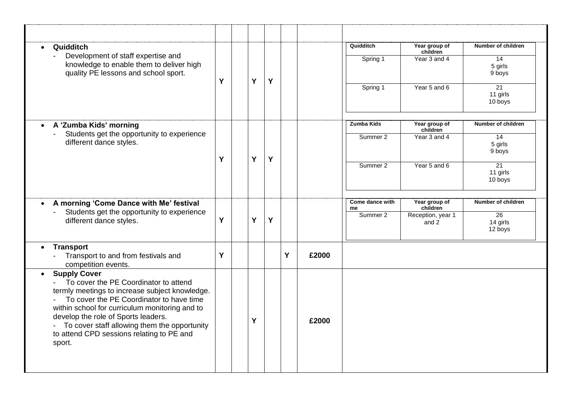| Quidditch<br>$\bullet$                                                                                                                                                                                                                                                                                                                                                                                 |   |   |   |   |       | Quidditch             | Year group of<br>children  | Number of children                     |
|--------------------------------------------------------------------------------------------------------------------------------------------------------------------------------------------------------------------------------------------------------------------------------------------------------------------------------------------------------------------------------------------------------|---|---|---|---|-------|-----------------------|----------------------------|----------------------------------------|
| Development of staff expertise and<br>knowledge to enable them to deliver high<br>quality PE lessons and school sport.                                                                                                                                                                                                                                                                                 | Y | Y | Y |   |       | Spring 1              | Year 3 and 4               | 14<br>5 girls<br>9 boys                |
|                                                                                                                                                                                                                                                                                                                                                                                                        |   |   |   |   |       | Spring 1              | Year 5 and 6               | 21<br>11 girls<br>10 boys              |
| A 'Zumba Kids' morning<br>$\bullet$                                                                                                                                                                                                                                                                                                                                                                    |   |   |   |   |       | Zumba Kids            | Year group of<br>children  | Number of children                     |
| Students get the opportunity to experience<br>different dance styles.                                                                                                                                                                                                                                                                                                                                  | Ý | Y | Y |   |       | Summer 2              | Year 3 and 4               | 14<br>5 girls<br>9 boys                |
|                                                                                                                                                                                                                                                                                                                                                                                                        |   |   |   |   |       | Summer 2              | Year 5 and 6               | $\overline{21}$<br>11 girls<br>10 boys |
| A morning 'Come Dance with Me' festival<br>$\bullet$                                                                                                                                                                                                                                                                                                                                                   |   |   |   |   |       | Come dance with<br>me | Year group of<br>children  | Number of children                     |
| Students get the opportunity to experience<br>different dance styles.                                                                                                                                                                                                                                                                                                                                  | Y | Y | Y |   |       | Summer 2              | Reception, year 1<br>and 2 | 26<br>14 girls<br>12 boys              |
| <b>Transport</b><br>$\bullet$<br>Transport to and from festivals and<br>competition events.                                                                                                                                                                                                                                                                                                            | Y |   |   | Y | £2000 |                       |                            |                                        |
| <b>Supply Cover</b><br>$\bullet$<br>To cover the PE Coordinator to attend<br>$\mathbf{L}^{\text{max}}$<br>termly meetings to increase subject knowledge.<br>To cover the PE Coordinator to have time<br>within school for curriculum monitoring and to<br>develop the role of Sports leaders.<br>- To cover staff allowing them the opportunity<br>to attend CPD sessions relating to PE and<br>sport. |   | Y |   |   | £2000 |                       |                            |                                        |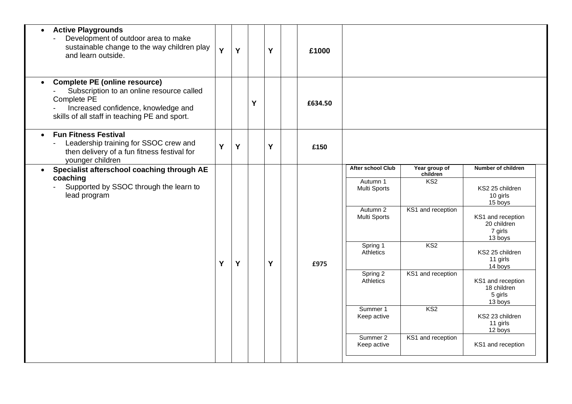| <b>Active Playgrounds</b><br>$\bullet$<br>Development of outdoor area to make<br>sustainable change to the way children play<br>and learn outside.                                                    | Y | Y |   | Y | £1000   |                                                                                  |                                                                   |                                                                                                                        |
|-------------------------------------------------------------------------------------------------------------------------------------------------------------------------------------------------------|---|---|---|---|---------|----------------------------------------------------------------------------------|-------------------------------------------------------------------|------------------------------------------------------------------------------------------------------------------------|
| <b>Complete PE (online resource)</b><br>$\bullet$<br>Subscription to an online resource called<br>Complete PE<br>Increased confidence, knowledge and<br>skills of all staff in teaching PE and sport. |   |   | Y |   | £634.50 |                                                                                  |                                                                   |                                                                                                                        |
| <b>Fun Fitness Festival</b><br>$\bullet$<br>Leadership training for SSOC crew and<br>then delivery of a fun fitness festival for<br>younger children                                                  | Y | Y |   | Y | £150    |                                                                                  |                                                                   |                                                                                                                        |
| Specialist afterschool coaching through AE<br>coaching<br>Supported by SSOC through the learn to<br>lead program                                                                                      |   |   |   |   |         | <b>After school Club</b><br>Autumn 1<br>Multi Sports<br>Autumn 2<br>Multi Sports | Year group of<br>children<br>KS <sub>2</sub><br>KS1 and reception | Number of children<br>KS2 25 children<br>10 girls<br>15 boys<br>KS1 and reception<br>20 children<br>7 girls<br>13 boys |
|                                                                                                                                                                                                       | Y | Y |   | Y | £975    | Spring 1<br>Athletics                                                            | KS <sub>2</sub>                                                   | KS2 25 children<br>11 girls<br>14 boys                                                                                 |
|                                                                                                                                                                                                       |   |   |   |   |         | Spring 2<br>Athletics                                                            | KS1 and reception                                                 | KS1 and reception<br>18 children<br>5 girls<br>13 boys                                                                 |
|                                                                                                                                                                                                       |   |   |   |   |         | Summer 1<br>Keep active                                                          | KS <sub>2</sub>                                                   | KS2 23 children<br>11 girls<br>12 boys                                                                                 |
|                                                                                                                                                                                                       |   |   |   |   |         | Summer 2<br>Keep active                                                          | KS1 and reception                                                 | KS1 and reception                                                                                                      |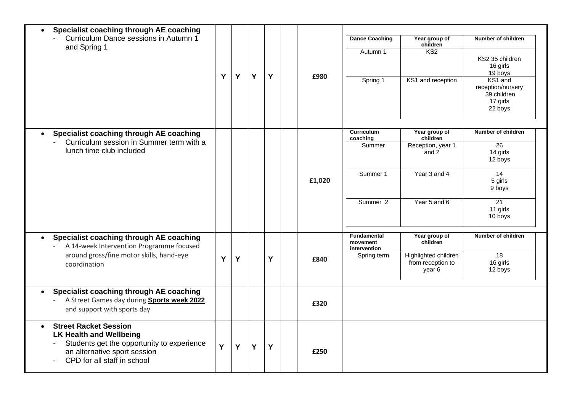| Specialist coaching through AE coaching<br>Curriculum Dance sessions in Autumn 1<br>and Spring 1                                                                            | Y | Y | Y | Y | £980   | <b>Dance Coaching</b><br>Autumn 1<br>Spring 1                              | Year group of<br>children<br>K <sub>S2</sub><br>KS1 and reception                       | Number of children<br>KS2 35 children<br>16 girls<br>19 boys<br>KS1 and<br>reception/nursery<br>39 children<br>17 girls<br>22 boys |
|-----------------------------------------------------------------------------------------------------------------------------------------------------------------------------|---|---|---|---|--------|----------------------------------------------------------------------------|-----------------------------------------------------------------------------------------|------------------------------------------------------------------------------------------------------------------------------------|
| Specialist coaching through AE coaching<br>Curriculum session in Summer term with a<br>lunch time club included                                                             |   |   |   |   | £1,020 | <b>Curriculum</b><br>coaching<br>Summer<br>Summer 1<br>Summer <sub>2</sub> | Year group of<br>children<br>Reception, year 1<br>and 2<br>Year 3 and 4<br>Year 5 and 6 | Number of children<br>26<br>14 girls<br>12 boys<br>14<br>5 girls<br>9 boys<br>21<br>11 girls<br>10 boys                            |
| Specialist coaching through AE coaching<br>$\bullet$<br>A 14-week Intervention Programme focused<br>around gross/fine motor skills, hand-eye<br>coordination                | Y | Y |   | Y | £840   | <b>Fundamental</b><br>movement<br>intervention<br>Spring term              | Year group of<br>children<br>Highlighted children<br>from reception to<br>year 6        | Number of children<br>18<br>16 girls<br>12 boys                                                                                    |
| Specialist coaching through AE coaching<br>A Street Games day during Sports week 2022<br>and support with sports day                                                        |   |   |   |   | £320   |                                                                            |                                                                                         |                                                                                                                                    |
| <b>Street Racket Session</b><br><b>LK Health and Wellbeing</b><br>Students get the opportunity to experience<br>an alternative sport session<br>CPD for all staff in school | Y | Y | Y | Y | £250   |                                                                            |                                                                                         |                                                                                                                                    |